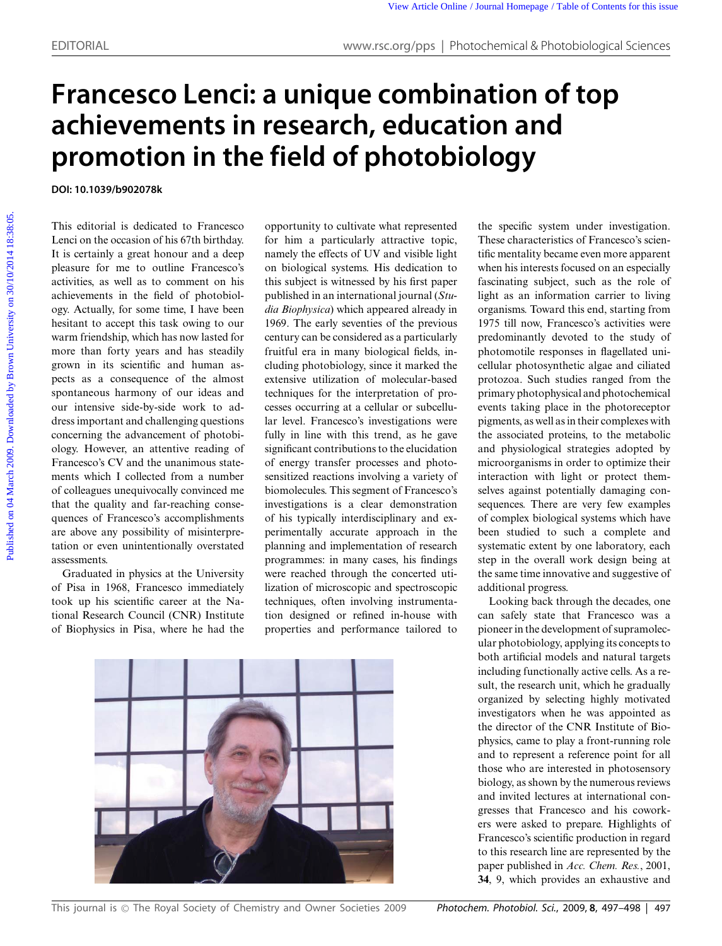## **Francesco Lenci: a unique combination of top achievements in research, education and promotion in the field of photobiology**

**DOI: 10.1039/b902078k**

This editorial is dedicated to Francesco Lenci on the occasion of his 67th birthday. It is certainly a great honour and a deep pleasure for me to outline Francesco's activities, as well as to comment on his achievements in the field of photobiology. Actually, for some time, I have been hesitant to accept this task owing to our warm friendship, which has now lasted for more than forty years and has steadily grown in its scientific and human aspects as a consequence of the almost spontaneous harmony of our ideas and our intensive side-by-side work to address important and challenging questions concerning the advancement of photobiology. However, an attentive reading of Francesco's CV and the unanimous statements which I collected from a number of colleagues unequivocally convinced me that the quality and far-reaching consequences of Francesco's accomplishments are above any possibility of misinterpretation or even unintentionally overstated assessments.

Graduated in physics at the University of Pisa in 1968, Francesco immediately took up his scientific career at the National Research Council (CNR) Institute of Biophysics in Pisa, where he had the

opportunity to cultivate what represented for him a particularly attractive topic, namely the effects of UV and visible light on biological systems. His dedication to this subject is witnessed by his first paper published in an international journal (*Studia Biophysica*) which appeared already in 1969. The early seventies of the previous century can be considered as a particularly fruitful era in many biological fields, including photobiology, since it marked the extensive utilization of molecular-based techniques for the interpretation of processes occurring at a cellular or subcellular level. Francesco's investigations were fully in line with this trend, as he gave significant contributions to the elucidation of energy transfer processes and photosensitized reactions involving a variety of biomolecules. This segment of Francesco's investigations is a clear demonstration of his typically interdisciplinary and experimentally accurate approach in the planning and implementation of research programmes: in many cases, his findings were reached through the concerted utilization of microscopic and spectroscopic techniques, often involving instrumentation designed or refined in-house with properties and performance tailored to



the specific system under investigation. These characteristics of Francesco's scientific mentality became even more apparent when his interests focused on an especially fascinating subject, such as the role of light as an information carrier to living organisms. Toward this end, starting from 1975 till now, Francesco's activities were predominantly devoted to the study of photomotile responses in flagellated unicellular photosynthetic algae and ciliated protozoa. Such studies ranged from the primary photophysical and photochemical events taking place in the photoreceptor pigments, as well as in their complexes with the associated proteins, to the metabolic and physiological strategies adopted by microorganisms in order to optimize their interaction with light or protect themselves against potentially damaging consequences. There are very few examples of complex biological systems which have been studied to such a complete and systematic extent by one laboratory, each step in the overall work design being at the same time innovative and suggestive of additional progress. **PUBLIC CONSULTER COLUMN CONTROL CONTROL CONTROL CONTROL CONTROL CONTROL CONTROL CONTROL CONTROL CONTROL CONTROL CONTROL CONTROL CONTROL CONTROL CONTROL CONTROL CONTROL CONTROL CONTROL CONTROL CONTROL CONTROL CONTROL CONT** 

> Looking back through the decades, one can safely state that Francesco was a pioneer in the development of supramolecular photobiology, applying its concepts to both artificial models and natural targets including functionally active cells. As a result, the research unit, which he gradually organized by selecting highly motivated investigators when he was appointed as the director of the CNR Institute of Biophysics, came to play a front-running role and to represent a reference point for all those who are interested in photosensory biology, as shown by the numerous reviews and invited lectures at international congresses that Francesco and his coworkers were asked to prepare. Highlights of Francesco's scientific production in regard to this research line are represented by the paper published in *Acc. Chem. Res.*, 2001, **34**, 9, which provides an exhaustive and